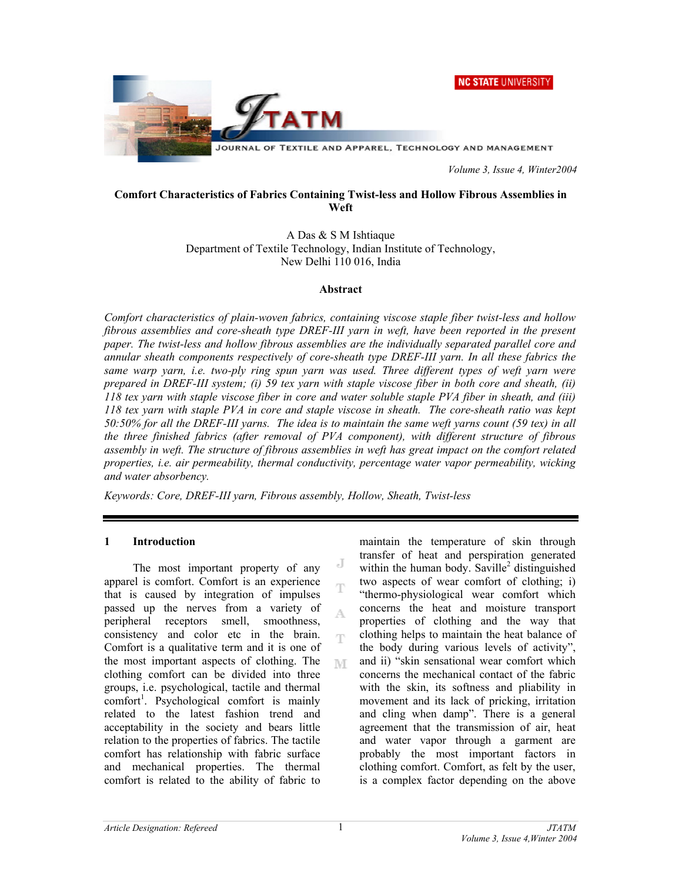



 *Volume 3, Issue 4, Winter2004* 

#### **Comfort Characteristics of Fabrics Containing Twist-less and Hollow Fibrous Assemblies in Weft**

A Das & S M Ishtiaque Department of Textile Technology, Indian Institute of Technology, New Delhi 110 016, India

#### **Abstract**

*Comfort characteristics of plain-woven fabrics, containing viscose staple fiber twist-less and hollow fibrous assemblies and core-sheath type DREF-III yarn in weft, have been reported in the present paper. The twist-less and hollow fibrous assemblies are the individually separated parallel core and annular sheath components respectively of core-sheath type DREF-III yarn. In all these fabrics the same warp yarn, i.e. two-ply ring spun yarn was used. Three different types of weft yarn were prepared in DREF-III system; (i) 59 tex yarn with staple viscose fiber in both core and sheath, (ii) 118 tex yarn with staple viscose fiber in core and water soluble staple PVA fiber in sheath, and (iii) 118 tex yarn with staple PVA in core and staple viscose in sheath. The core-sheath ratio was kept 50:50% for all the DREF-III yarns. The idea is to maintain the same weft yarns count (59 tex) in all the three finished fabrics (after removal of PVA component), with different structure of fibrous assembly in weft. The structure of fibrous assemblies in weft has great impact on the comfort related properties, i.e. air permeability, thermal conductivity, percentage water vapor permeability, wicking and water absorbency.* 

J

Ŧ

A

Ŧ

M

*Keywords: Core, DREF-III yarn, Fibrous assembly, Hollow, Sheath, Twist-less*

#### **1 Introduction**

 The most important property of any apparel is comfort. Comfort is an experience that is caused by integration of impulses passed up the nerves from a variety of peripheral receptors smell, smoothness, consistency and color etc in the brain. Comfort is a qualitative term and it is one of the most important aspects of clothing. The clothing comfort can be divided into three groups, i.e. psychological, tactile and thermal comfort<sup>1</sup>. Psychological comfort is mainly related to the latest fashion trend and acceptability in the society and bears little relation to the properties of fabrics. The tactile comfort has relationship with fabric surface and mechanical properties. The thermal comfort is related to the ability of fabric to

maintain the temperature of skin through transfer of heat and perspiration generated within the human body. Saville<sup>2</sup> distinguished two aspects of wear comfort of clothing; i) "thermo-physiological wear comfort which concerns the heat and moisture transport properties of clothing and the way that clothing helps to maintain the heat balance of the body during various levels of activity", and ii) "skin sensational wear comfort which concerns the mechanical contact of the fabric with the skin, its softness and pliability in movement and its lack of pricking, irritation and cling when damp". There is a general agreement that the transmission of air, heat and water vapor through a garment are probably the most important factors in clothing comfort. Comfort, as felt by the user, is a complex factor depending on the above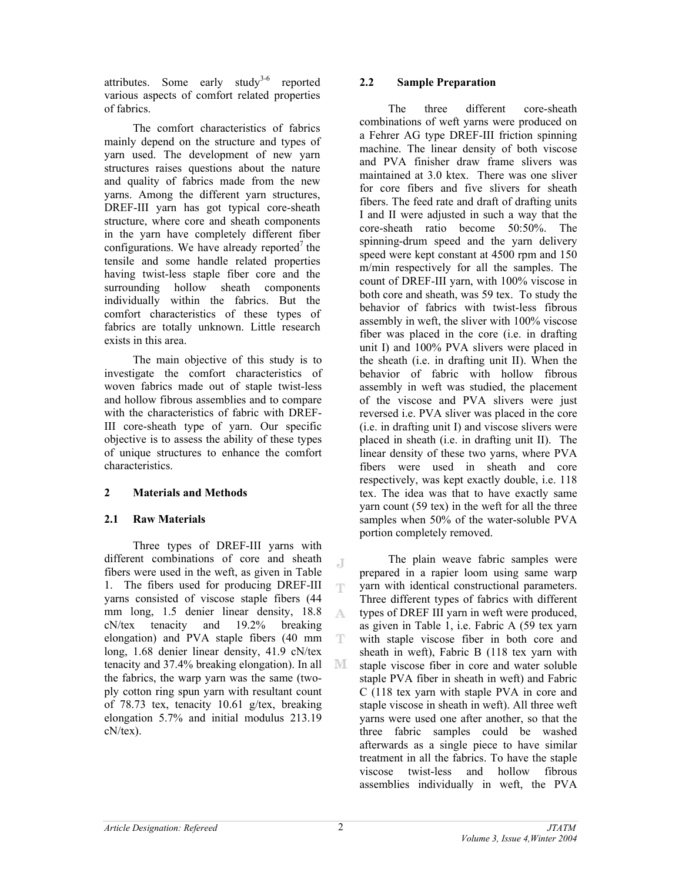attributes. Some early study<sup>3-6</sup> reported various aspects of comfort related properties of fabrics.

 The comfort characteristics of fabrics mainly depend on the structure and types of yarn used. The development of new yarn structures raises questions about the nature and quality of fabrics made from the new yarns. Among the different yarn structures, DREF-III yarn has got typical core-sheath structure, where core and sheath components in the yarn have completely different fiber configurations. We have already reported<sup>7</sup> the tensile and some handle related properties having twist-less staple fiber core and the surrounding hollow sheath components individually within the fabrics. But the comfort characteristics of these types of fabrics are totally unknown. Little research exists in this area.

The main objective of this study is to investigate the comfort characteristics of woven fabrics made out of staple twist-less and hollow fibrous assemblies and to compare with the characteristics of fabric with DREF-III core-sheath type of yarn. Our specific objective is to assess the ability of these types of unique structures to enhance the comfort characteristics.

## **2 Materials and Methods**

## **2.1 Raw Materials**

 Three types of DREF-III yarns with different combinations of core and sheath fibers were used in the weft, as given in Table 1. The fibers used for producing DREF-III yarns consisted of viscose staple fibers (44 mm long, 1.5 denier linear density, 18.8 A cN/tex tenacity and 19.2% breaking elongation) and PVA staple fibers (40 mm long, 1.68 denier linear density, 41.9 cN/tex tenacity and 37.4% breaking elongation). In all - IVI. the fabrics, the warp yarn was the same (twoply cotton ring spun yarn with resultant count of 78.73 tex, tenacity 10.61 g/tex, breaking elongation 5.7% and initial modulus 213.19 cN/tex).

## **2.2 Sample Preparation**

The three different core-sheath combinations of weft yarns were produced on a Fehrer AG type DREF-III friction spinning machine. The linear density of both viscose and PVA finisher draw frame slivers was maintained at 3.0 ktex. There was one sliver for core fibers and five slivers for sheath fibers. The feed rate and draft of drafting units I and II were adjusted in such a way that the core-sheath ratio become 50:50%. The spinning-drum speed and the yarn delivery speed were kept constant at 4500 rpm and 150 m/min respectively for all the samples. The count of DREF-III yarn, with 100% viscose in both core and sheath, was 59 tex. To study the behavior of fabrics with twist-less fibrous assembly in weft, the sliver with 100% viscose fiber was placed in the core (i.e. in drafting unit I) and 100% PVA slivers were placed in the sheath (i.e. in drafting unit II). When the behavior of fabric with hollow fibrous assembly in weft was studied, the placement of the viscose and PVA slivers were just reversed i.e. PVA sliver was placed in the core (i.e. in drafting unit I) and viscose slivers were placed in sheath (i.e. in drafting unit II). The linear density of these two yarns, where PVA fibers were used in sheath and core respectively, was kept exactly double, i.e. 118 tex. The idea was that to have exactly same yarn count (59 tex) in the weft for all the three samples when 50% of the water-soluble PVA portion completely removed.

 The plain weave fabric samples were prepared in a rapier loom using same warp yarn with identical constructional parameters. Three different types of fabrics with different types of DREF III yarn in weft were produced, as given in Table 1, i.e. Fabric A (59 tex yarn with staple viscose fiber in both core and sheath in weft), Fabric B (118 tex yarn with staple viscose fiber in core and water soluble staple PVA fiber in sheath in weft) and Fabric C (118 tex yarn with staple PVA in core and staple viscose in sheath in weft). All three weft yarns were used one after another, so that the three fabric samples could be washed afterwards as a single piece to have similar treatment in all the fabrics. To have the staple viscose twist-less and hollow fibrous assemblies individually in weft, the PVA

J

Ŧ

T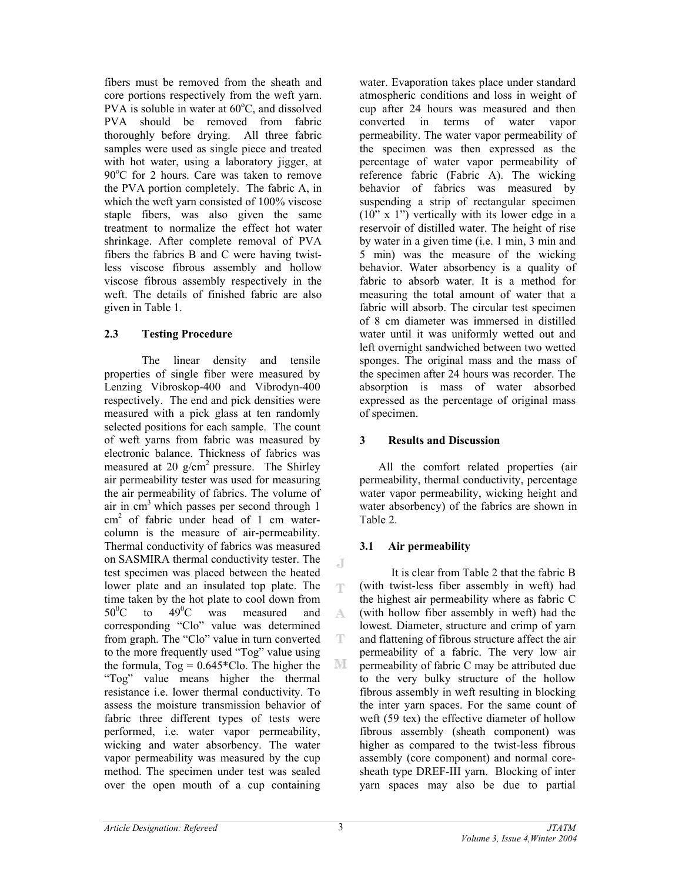fibers must be removed from the sheath and core portions respectively from the weft yarn. PVA is soluble in water at  $60^{\circ}$ C, and dissolved PVA should be removed from fabric thoroughly before drying. All three fabric samples were used as single piece and treated with hot water, using a laboratory jigger, at 90°C for 2 hours. Care was taken to remove the PVA portion completely. The fabric A, in which the weft yarn consisted of 100% viscose staple fibers, was also given the same treatment to normalize the effect hot water shrinkage. After complete removal of PVA fibers the fabrics B and C were having twistless viscose fibrous assembly and hollow viscose fibrous assembly respectively in the weft. The details of finished fabric are also given in Table 1.

## **2.3 Testing Procedure**

 The linear density and tensile properties of single fiber were measured by Lenzing Vibroskop-400 and Vibrodyn-400 respectively. The end and pick densities were measured with a pick glass at ten randomly selected positions for each sample. The count of weft yarns from fabric was measured by electronic balance. Thickness of fabrics was measured at 20  $g/cm^2$  pressure. The Shirley air permeability tester was used for measuring the air permeability of fabrics. The volume of air in  $cm<sup>3</sup>$  which passes per second through 1 cm2 of fabric under head of 1 cm watercolumn is the measure of air-permeability. Thermal conductivity of fabrics was measured on SASMIRA thermal conductivity tester. The test specimen was placed between the heated lower plate and an insulated top plate. The time taken by the hot plate to cool down from  $50^0$ C to  $49^0$ C was measured and corresponding "Clo" value was determined from graph. The "Clo" value in turn converted to the more frequently used "Tog" value using the formula,  $Tog = 0.645 \times Clo$ . The higher the M "Tog" value means higher the thermal resistance i.e. lower thermal conductivity. To assess the moisture transmission behavior of fabric three different types of tests were performed, i.e. water vapor permeability, wicking and water absorbency. The water vapor permeability was measured by the cup method. The specimen under test was sealed over the open mouth of a cup containing

water. Evaporation takes place under standard atmospheric conditions and loss in weight of cup after 24 hours was measured and then converted in terms of water vapor permeability. The water vapor permeability of the specimen was then expressed as the percentage of water vapor permeability of reference fabric (Fabric A). The wicking behavior of fabrics was measured by suspending a strip of rectangular specimen (10" x 1") vertically with its lower edge in a reservoir of distilled water. The height of rise by water in a given time (i.e. 1 min, 3 min and 5 min) was the measure of the wicking behavior. Water absorbency is a quality of fabric to absorb water. It is a method for measuring the total amount of water that a fabric will absorb. The circular test specimen of 8 cm diameter was immersed in distilled water until it was uniformly wetted out and left overnight sandwiched between two wetted sponges. The original mass and the mass of the specimen after 24 hours was recorder. The absorption is mass of water absorbed expressed as the percentage of original mass of specimen.

#### **3 Results and Discussion**

All the comfort related properties (air permeability, thermal conductivity, percentage water vapor permeability, wicking height and water absorbency) of the fabrics are shown in Table 2.

## **3.1 Air permeability**

It is clear from Table 2 that the fabric B (with twist-less fiber assembly in weft) had the highest air permeability where as fabric C (with hollow fiber assembly in weft) had the lowest. Diameter, structure and crimp of yarn and flattening of fibrous structure affect the air permeability of a fabric. The very low air permeability of fabric C may be attributed due to the very bulky structure of the hollow fibrous assembly in weft resulting in blocking the inter yarn spaces. For the same count of weft (59 tex) the effective diameter of hollow fibrous assembly (sheath component) was higher as compared to the twist-less fibrous assembly (core component) and normal coresheath type DREF-III yarn. Blocking of inter yarn spaces may also be due to partial

J

Ŧ

A

T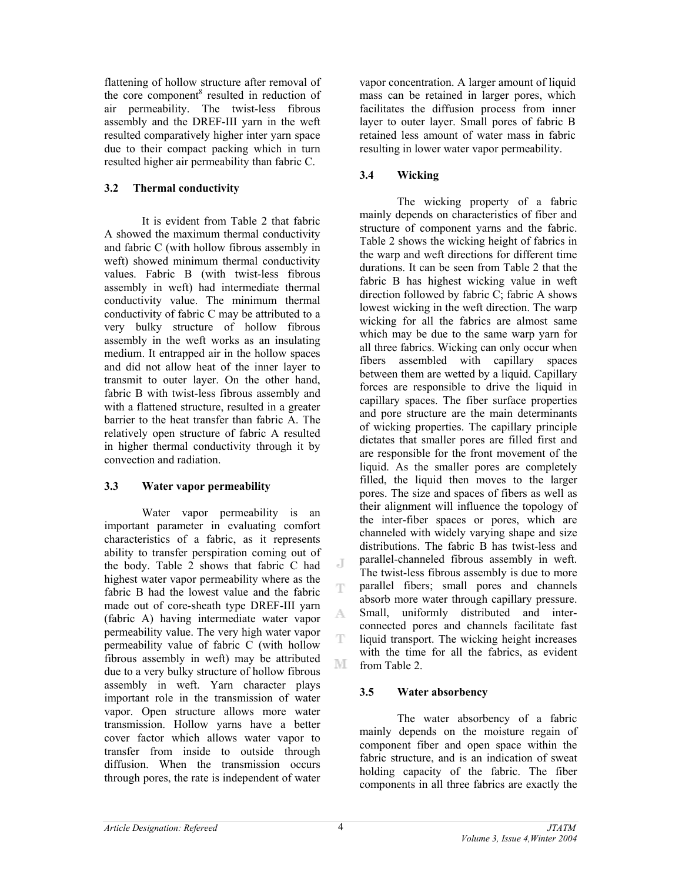flattening of hollow structure after removal of the core component<sup>8</sup> resulted in reduction of air permeability. The twist-less fibrous assembly and the DREF-III yarn in the weft resulted comparatively higher inter yarn space due to their compact packing which in turn resulted higher air permeability than fabric C.

#### **3.2 Thermal conductivity**

 It is evident from Table 2 that fabric A showed the maximum thermal conductivity and fabric C (with hollow fibrous assembly in weft) showed minimum thermal conductivity values. Fabric B (with twist-less fibrous assembly in weft) had intermediate thermal conductivity value. The minimum thermal conductivity of fabric C may be attributed to a very bulky structure of hollow fibrous assembly in the weft works as an insulating medium. It entrapped air in the hollow spaces and did not allow heat of the inner layer to transmit to outer layer. On the other hand, fabric B with twist-less fibrous assembly and with a flattened structure, resulted in a greater barrier to the heat transfer than fabric A. The relatively open structure of fabric A resulted in higher thermal conductivity through it by convection and radiation.

## **3.3 Water vapor permeability**

 Water vapor permeability is an important parameter in evaluating comfort characteristics of a fabric, as it represents ability to transfer perspiration coming out of the body. Table 2 shows that fabric C had highest water vapor permeability where as the fabric B had the lowest value and the fabric made out of core-sheath type DREF-III yarn (fabric A) having intermediate water vapor permeability value. The very high water vapor permeability value of fabric C (with hollow fibrous assembly in weft) may be attributed due to a very bulky structure of hollow fibrous assembly in weft. Yarn character plays important role in the transmission of water vapor. Open structure allows more water transmission. Hollow yarns have a better cover factor which allows water vapor to transfer from inside to outside through diffusion. When the transmission occurs through pores, the rate is independent of water

vapor concentration. A larger amount of liquid mass can be retained in larger pores, which facilitates the diffusion process from inner layer to outer layer. Small pores of fabric B retained less amount of water mass in fabric resulting in lower water vapor permeability.

## **3.4 Wicking**

The wicking property of a fabric mainly depends on characteristics of fiber and structure of component yarns and the fabric. Table 2 shows the wicking height of fabrics in the warp and weft directions for different time durations. It can be seen from Table 2 that the fabric B has highest wicking value in weft direction followed by fabric C; fabric A shows lowest wicking in the weft direction. The warp wicking for all the fabrics are almost same which may be due to the same warp yarn for all three fabrics. Wicking can only occur when fibers assembled with capillary spaces between them are wetted by a liquid. Capillary forces are responsible to drive the liquid in capillary spaces. The fiber surface properties and pore structure are the main determinants of wicking properties. The capillary principle dictates that smaller pores are filled first and are responsible for the front movement of the liquid. As the smaller pores are completely filled, the liquid then moves to the larger pores. The size and spaces of fibers as well as their alignment will influence the topology of the inter-fiber spaces or pores, which are channeled with widely varying shape and size distributions. The fabric B has twist-less and parallel-channeled fibrous assembly in weft. The twist-less fibrous assembly is due to more parallel fibers; small pores and channels absorb more water through capillary pressure. Small, uniformly distributed and interconnected pores and channels facilitate fast liquid transport. The wicking height increases with the time for all the fabrics, as evident from Table 2.

## **3.5 Water absorbency**

The water absorbency of a fabric mainly depends on the moisture regain of component fiber and open space within the fabric structure, and is an indication of sweat holding capacity of the fabric. The fiber components in all three fabrics are exactly the

J

A

Ŧ

M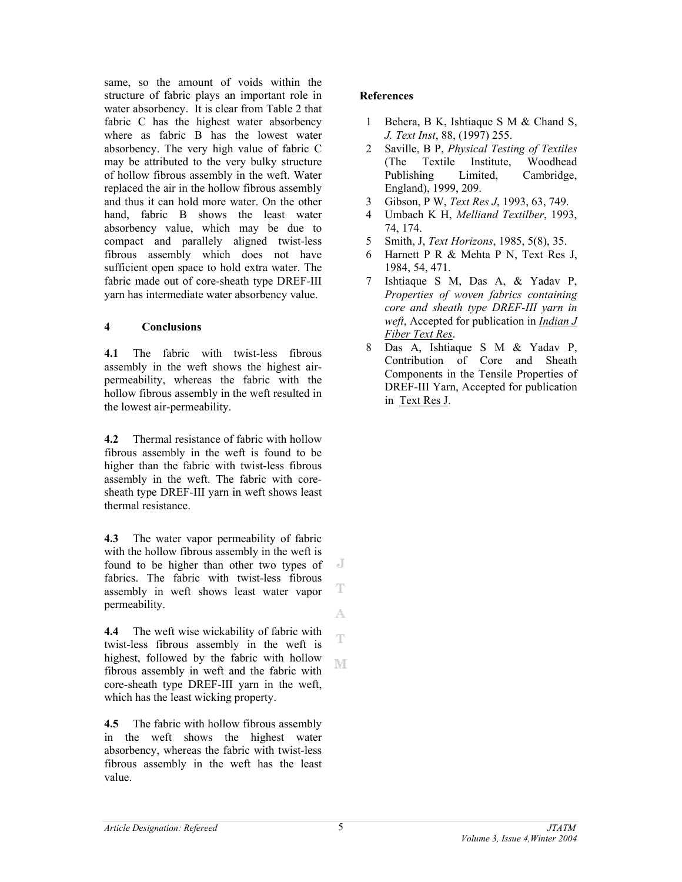same, so the amount of voids within the structure of fabric plays an important role in water absorbency. It is clear from Table 2 that fabric C has the highest water absorbency where as fabric B has the lowest water absorbency. The very high value of fabric C may be attributed to the very bulky structure of hollow fibrous assembly in the weft. Water replaced the air in the hollow fibrous assembly and thus it can hold more water. On the other hand, fabric B shows the least water absorbency value, which may be due to compact and parallely aligned twist-less fibrous assembly which does not have sufficient open space to hold extra water. The fabric made out of core-sheath type DREF-III yarn has intermediate water absorbency value.

#### **4 Conclusions**

**4.1** The fabric with twist-less fibrous assembly in the weft shows the highest airpermeability, whereas the fabric with the hollow fibrous assembly in the weft resulted in the lowest air-permeability.

**4.2** Thermal resistance of fabric with hollow fibrous assembly in the weft is found to be higher than the fabric with twist-less fibrous assembly in the weft. The fabric with coresheath type DREF-III yarn in weft shows least thermal resistance.

**4.3** The water vapor permeability of fabric with the hollow fibrous assembly in the weft is found to be higher than other two types of J fabrics. The fabric with twist-less fibrous T assembly in weft shows least water vapor permeability. A

**4.4** The weft wise wickability of fabric with Ŧ twist-less fibrous assembly in the weft is highest, followed by the fabric with hollow M fibrous assembly in weft and the fabric with core-sheath type DREF-III yarn in the weft, which has the least wicking property.

**4.5** The fabric with hollow fibrous assembly in the weft shows the highest water absorbency, whereas the fabric with twist-less fibrous assembly in the weft has the least value.

## **References**

- 1 Behera, B K, Ishtiaque S M & Chand S, *J. Text Inst*, 88, (1997) 255.
- 2 Saville, B P, *Physical Testing of Textiles* (The Textile Institute, Woodhead Publishing Limited, Cambridge, England), 1999, 209.
- 3 Gibson, P W, *Text Res J*, 1993, 63, 749.
- 4 Umbach K H, *Melliand Textilber*, 1993, 74, 174.
- 5 Smith, J, *Text Horizons*, 1985, 5(8), 35.
- 6 Harnett P R & Mehta P N, Text Res J, 1984, 54, 471.
- 7 Ishtiaque S M, Das A, & Yadav P, *Properties of woven fabrics containing core and sheath type DREF-III yarn in weft*, Accepted for publication in *Indian J Fiber Text Res*.
- 8 Das A, Ishtiaque S M & Yadav P, Contribution of Core and Sheath Components in the Tensile Properties of DREF-III Yarn, Accepted for publication in Text Res J.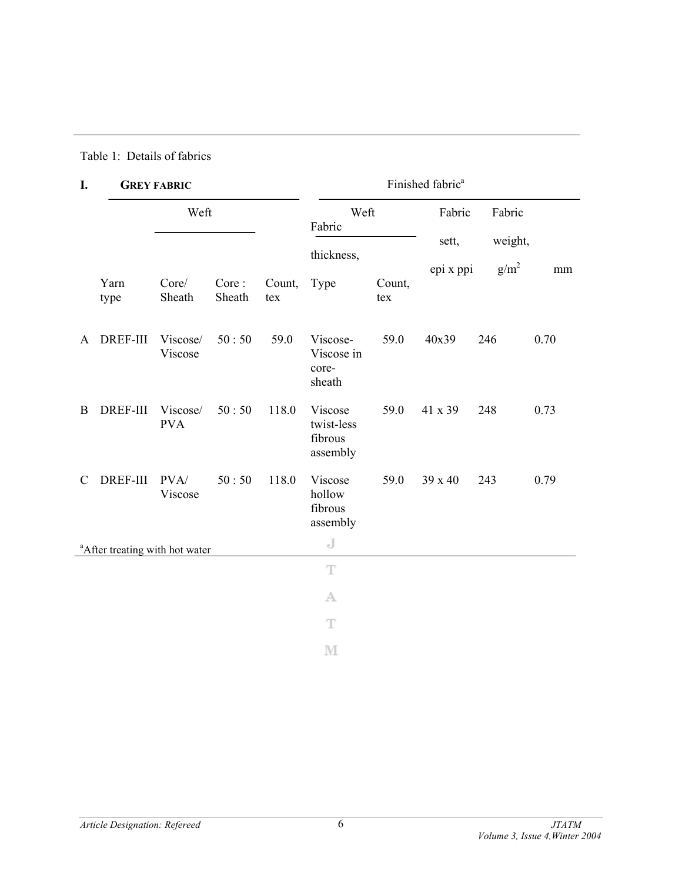## Table 1: Details of fabrics

# **I. GREY FABRIC**

| I.            | <b>GREY FABRIC</b>                         |                        |                 |               | Finished fabric <sup>a</sup>                 |               |           |         |      |  |
|---------------|--------------------------------------------|------------------------|-----------------|---------------|----------------------------------------------|---------------|-----------|---------|------|--|
|               |                                            | Weft                   |                 |               | Weft<br>Fabric                               |               | Fabric    | Fabric  |      |  |
|               |                                            |                        |                 |               | thickness,                                   |               | sett,     | weight, |      |  |
|               | Yarn<br>type                               | Core/<br>Sheath        | Core:<br>Sheath | Count,<br>tex | Type                                         | Count,<br>tex | epi x ppi | $g/m^2$ | mm   |  |
| A             | <b>DREF-III</b>                            | Viscose/<br>Viscose    | 50:50           | 59.0          | Viscose-<br>Viscose in<br>core-<br>sheath    | 59.0          | 40x39     | 246     | 0.70 |  |
| $\mathbf B$   | <b>DREF-III</b>                            | Viscose/<br><b>PVA</b> | 50:50           | 118.0         | Viscose<br>twist-less<br>fibrous<br>assembly | 59.0          | 41 x 39   | 248     | 0.73 |  |
| $\mathcal{C}$ | <b>DREF-III</b>                            | PVA/<br>Viscose        | 50:50           | 118.0         | Viscose<br>hollow<br>fibrous<br>assembly     | 59.0          | 39 x 40   | 243     | 0.79 |  |
|               | <sup>a</sup> After treating with hot water |                        |                 |               | J                                            |               |           |         |      |  |
|               |                                            |                        |                 |               | T                                            |               |           |         |      |  |
|               |                                            |                        |                 |               | A                                            |               |           |         |      |  |
|               |                                            |                        |                 |               | T                                            |               |           |         |      |  |
|               |                                            |                        |                 |               | M                                            |               |           |         |      |  |